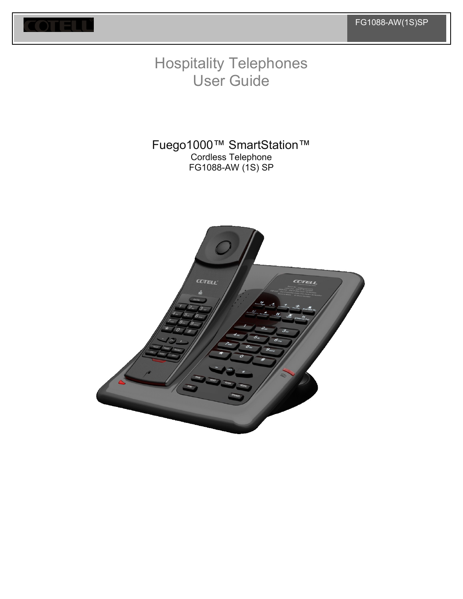

# Hospitality Telephones User Guide

# Fuego1000™ SmartStation™ Cordless Telephone FG1088-AW (1S) SP

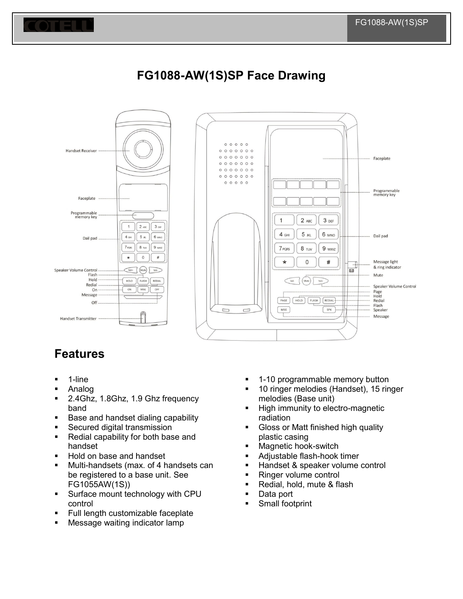

# **FG1088-AW(1S)SP Face Drawing**



# **Features**

- 1-line
- Analog
- 2.4Ghz, 1.8Ghz, 1.9 Ghz frequency band
- Base and handset dialing capability
- **Secured digital transmission**
- Redial capability for both base and handset
- Hold on base and handset
- Multi-handsets (max. of 4 handsets can be registered to a base unit. See FG1055AW(1S))
- **Surface mount technology with CPU** control
- Full length customizable faceplate
- **Message waiting indicator lamp**
- **-** 1-10 programmable memory button
- **10 ringer melodies (Handset), 15 ringer** melodies (Base unit)
- **High immunity to electro-magnetic** radiation
- **Gloss or Matt finished high quality** plastic casing
- **Magnetic hook-switch**
- Adjustable flash-hook timer
- Handset & speaker volume control
- Ringer volume control
- Redial, hold, mute & flash
- Data port
- Small footprint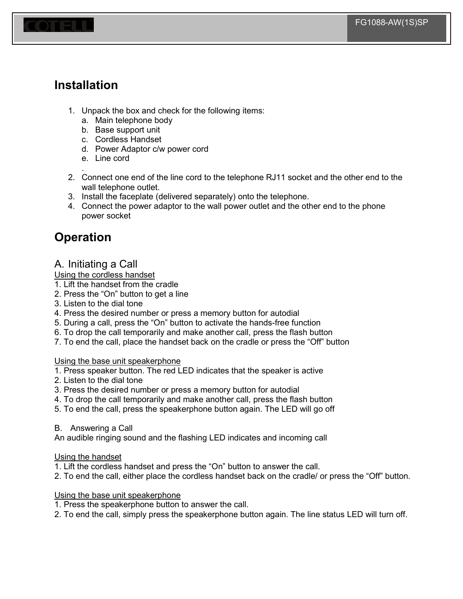

# **Installation**

- 1. Unpack the box and check for the following items:
	- a. Main telephone body
	- b. Base support unit
	- c. Cordless Handset
	- d. Power Adaptor c/w power cord
	- e. Line cord
- . 2. Connect one end of the line cord to the telephone RJ11 socket and the other end to the wall telephone outlet.
- 3. Install the faceplate (delivered separately) onto the telephone.
- 4. Connect the power adaptor to the wall power outlet and the other end to the phone power socket

# **Operation**

## A. Initiating a Call

Using the cordless handset

- 1. Lift the handset from the cradle
- 2. Press the "On" button to get a line
- 3. Listen to the dial tone
- 4. Press the desired number or press a memory button for autodial
- 5. During a call, press the "On" button to activate the hands-free function
- 6. To drop the call temporarily and make another call, press the flash button
- 7. To end the call, place the handset back on the cradle or press the "Off" button

Using the base unit speakerphone

- 1. Press speaker button. The red LED indicates that the speaker is active
- 2. Listen to the dial tone
- 3. Press the desired number or press a memory button for autodial
- 4. To drop the call temporarily and make another call, press the flash button
- 5. To end the call, press the speakerphone button again. The LED will go off

#### B. Answering a Call

An audible ringing sound and the flashing LED indicates and incoming call

#### Using the handset

- 1. Lift the cordless handset and press the "On" button to answer the call.
- 2. To end the call, either place the cordless handset back on the cradle/ or press the "Off" button.

#### Using the base unit speakerphone

- 1. Press the speakerphone button to answer the call.
- 2. To end the call, simply press the speakerphone button again. The line status LED will turn off.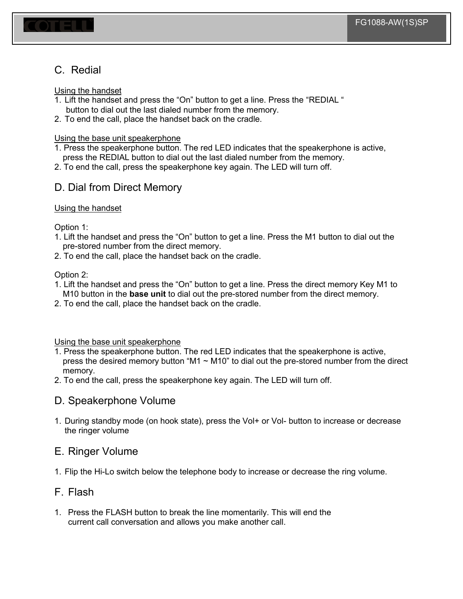

Using the handset

- 1. Lift the handset and press the "On" button to get a line. Press the "REDIAL " button to dial out the last dialed number from the memory.
- 2. To end the call, place the handset back on the cradle.

#### Using the base unit speakerphone

- 1. Press the speakerphone button. The red LED indicates that the speakerphone is active, press the REDIAL button to dial out the last dialed number from the memory.
- 2. To end the call, press the speakerphone key again. The LED will turn off.

## D. Dial from Direct Memory

#### Using the handset

Option 1:

- 1. Lift the handset and press the "On" button to get a line. Press the M1 button to dial out the pre-stored number from the direct memory.
- 2. To end the call, place the handset back on the cradle.

Option 2:

- 1. Lift the handset and press the "On" button to get a line. Press the direct memory Key M1 to M10 button in the **base unit** to dial out the pre-stored number from the direct memory.
- 2. To end the call, place the handset back on the cradle.

Using the base unit speakerphone

- 1. Press the speakerphone button. The red LED indicates that the speakerphone is active, press the desired memory button "M1  $\sim$  M10" to dial out the pre-stored number from the direct memory.
- 2. To end the call, press the speakerphone key again. The LED will turn off.

### D. Speakerphone Volume

1. During standby mode (on hook state), press the Vol+ or Vol- button to increase or decrease the ringer volume

## E. Ringer Volume

1. Flip the Hi-Lo switch below the telephone body to increase or decrease the ring volume.

### F. Flash

1. Press the FLASH button to break the line momentarily. This will end the current call conversation and allows you make another call.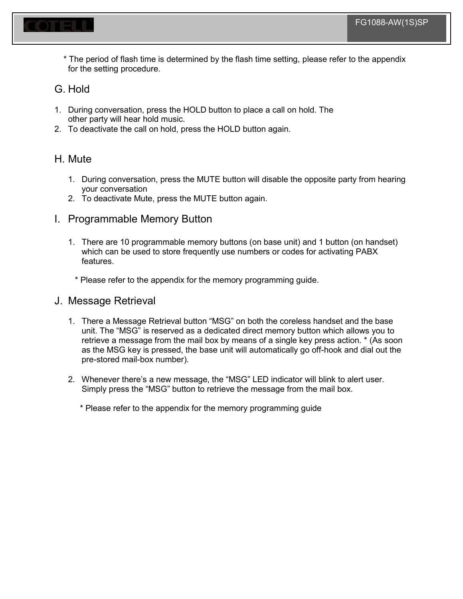

\* The period of flash time is determined by the flash time setting, please refer to the appendix for the setting procedure.

## G. Hold

- 1. During conversation, press the HOLD button to place a call on hold. The other party will hear hold music.
- 2. To deactivate the call on hold, press the HOLD button again.

## H. Mute

- 1. During conversation, press the MUTE button will disable the opposite party from hearing your conversation
- 2. To deactivate Mute, press the MUTE button again.
- I. Programmable Memory Button
	- 1. There are 10 programmable memory buttons (on base unit) and 1 button (on handset) which can be used to store frequently use numbers or codes for activating PABX features.
		- \* Please refer to the appendix for the memory programming guide.

### J. Message Retrieval

- 1. There a Message Retrieval button "MSG" on both the coreless handset and the base unit. The "MSG" is reserved as a dedicated direct memory button which allows you to retrieve a message from the mail box by means of a single key press action. \* (As soon as the MSG key is pressed, the base unit will automatically go off-hook and dial out the pre-stored mail-box number).
- 2. Whenever there's a new message, the "MSG" LED indicator will blink to alert user. Simply press the "MSG" button to retrieve the message from the mail box.

\* Please refer to the appendix for the memory programming guide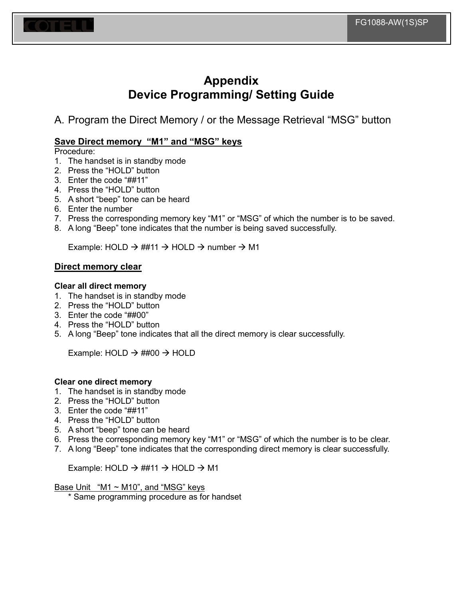

# **Appendix Device Programming/ Setting Guide**

A. Program the Direct Memory / or the Message Retrieval "MSG" button

#### **Save Direct memory "M1" and "MSG" keys**

Procedure:

- 1. The handset is in standby mode
- 2. Press the "HOLD" button
- 3. Enter the code "##11"
- 4. Press the "HOLD" button
- 5. A short "beep" tone can be heard
- 6. Enter the number
- 7. Press the corresponding memory key "M1" or "MSG" of which the number is to be saved.
- 8. A long "Beep" tone indicates that the number is being saved successfully.

Example: HOLD  $\rightarrow$  ##11  $\rightarrow$  HOLD  $\rightarrow$  number  $\rightarrow$  M1

#### **Direct memory clear**

#### **Clear all direct memory**

- 1. The handset is in standby mode
- 2. Press the "HOLD" button
- 3. Enter the code "##00"
- 4. Press the "HOLD" button
- 5. A long "Beep" tone indicates that all the direct memory is clear successfully.

Example: HOLD  $\rightarrow$  ##00  $\rightarrow$  HOLD

#### **Clear one direct memory**

- 1. The handset is in standby mode
- 2. Press the "HOLD" button
- 3. Enter the code "##11"
- 4. Press the "HOLD" button
- 5. A short "beep" tone can be heard
- 6. Press the corresponding memory key "M1" or "MSG" of which the number is to be clear.
- 7. A long "Beep" tone indicates that the corresponding direct memory is clear successfully.

Example: HOLD  $\rightarrow$  ##11  $\rightarrow$  HOLD  $\rightarrow$  M1

Base Unit " $M1 \sim M10$ ", and "MSG" keys

\* Same programming procedure as for handset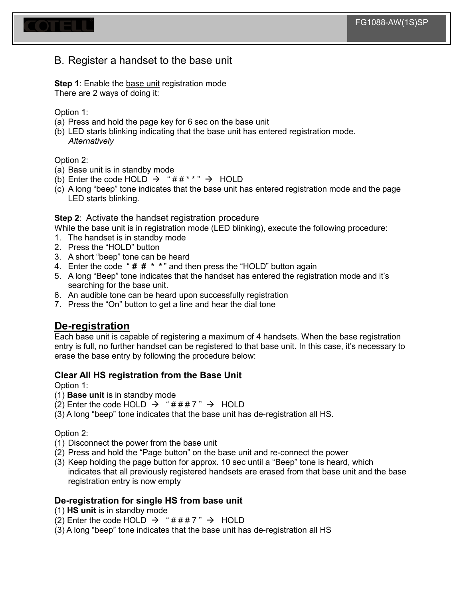

# B. Register a handset to the base unit

**Step 1:** Enable the base unit registration mode There are 2 ways of doing it:

#### Option 1:

- (a) Press and hold the page key for 6 sec on the base unit
- (b) LED starts blinking indicating that the base unit has entered registration mode. *Alternatively*

#### Option 2:

- (a) Base unit is in standby mode
- (b) Enter the code HOLD  $\rightarrow$  "##\*\*"  $\rightarrow$  HOLD
- (c) A long "beep" tone indicates that the base unit has entered registration mode and the page LED starts blinking.

#### **Step 2**: Activate the handset registration procedure

While the base unit is in registration mode (LED blinking), execute the following procedure:

- 1. The handset is in standby mode
- 2. Press the "HOLD" button
- 3. A short "beep" tone can be heard
- 4. Enter the code " *# # \* \** " and then press the "HOLD" button again
- 5. A long "Beep" tone indicates that the handset has entered the registration mode and it's searching for the base unit.
- 6. An audible tone can be heard upon successfully registration
- 7. Press the "On" button to get a line and hear the dial tone

## **De-registration**

Each base unit is capable of registering a maximum of 4 handsets. When the base registration entry is full, no further handset can be registered to that base unit. In this case, it's necessary to erase the base entry by following the procedure below:

#### **Clear All HS registration from the Base Unit**

#### Option 1:

- (1) **Base unit** is in standby mode
- (2) Enter the code HOLD  $\rightarrow$  "###7"  $\rightarrow$  HOLD
- (3) A long "beep" tone indicates that the base unit has de-registration all HS.

#### Option 2:

- (1) Disconnect the power from the base unit
- (2) Press and hold the "Page button" on the base unit and re-connect the power
- (3) Keep holding the page button for approx. 10 sec until a "Beep" tone is heard, which indicates that all previously registered handsets are erased from that base unit and the base registration entry is now empty

#### **De-registration for single HS from base unit**

- (1) **HS unit** is in standby mode
- (2) Enter the code HOLD  $\rightarrow$  "###7"  $\rightarrow$  HOLD
- (3) A long "beep" tone indicates that the base unit has de-registration all HS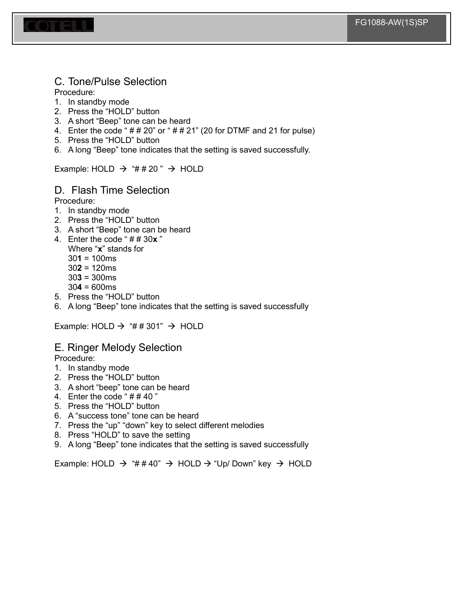

# C. Tone/Pulse Selection

Procedure:

- 1. In standby mode
- 2. Press the "HOLD" button
- 3. A short "Beep" tone can be heard
- 4. Enter the code " # # 20" or " # # 21" (20 for DTMF and 21 for pulse)
- 5. Press the "HOLD" button
- 6. A long "Beep" tone indicates that the setting is saved successfully.

Example: HOLD  $\rightarrow$  "##20"  $\rightarrow$  HOLD

## D. Flash Time Selection

Procedure:

- 1. In standby mode
- 2. Press the "HOLD" button
- 3. A short "Beep" tone can be heard
- 4. Enter the code " # # 30**x** " Where "**x**" stands for
	- 30**1** = 100ms
	- 30**2** = 120ms
	- 30**3** = 300ms
	- 30**4** = 600ms
- 5. Press the "HOLD" button
- 6. A long "Beep" tone indicates that the setting is saved successfully

Example: HOLD  $\rightarrow$  "##301"  $\rightarrow$  HOLD

### E. Ringer Melody Selection

Procedure:

- 1. In standby mode
- 2. Press the "HOLD" button
- 3. A short "beep" tone can be heard
- 4. Enter the code " $# # 40$ "
- 5. Press the "HOLD" button
- 6. A "success tone" tone can be heard
- 7. Press the "up" "down" key to select different melodies
- 8. Press "HOLD" to save the setting
- 9. A long "Beep" tone indicates that the setting is saved successfully

Example: HOLD  $\rightarrow$  "##40"  $\rightarrow$  HOLD  $\rightarrow$  "Up/ Down" key  $\rightarrow$  HOLD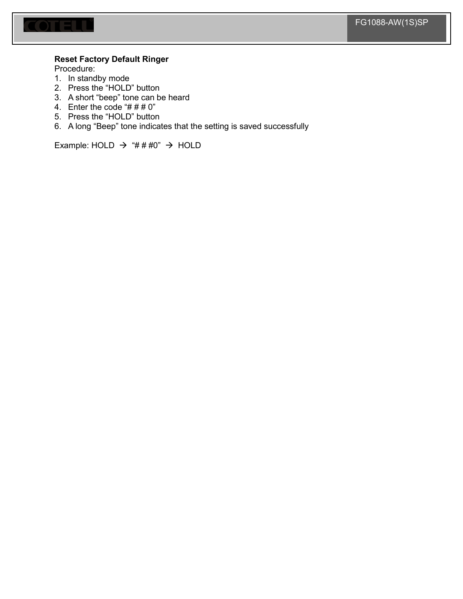

#### **Reset Factory Default Ringer**

Procedure:

- 1. In standby mode
- 2. Press the "HOLD" button
- 3. A short "beep" tone can be heard
- 4. Enter the code "# # # 0"
- 5. Press the "HOLD" button
- 6. A long "Beep" tone indicates that the setting is saved successfully

Example: HOLD  $\rightarrow$  "###0"  $\rightarrow$  HOLD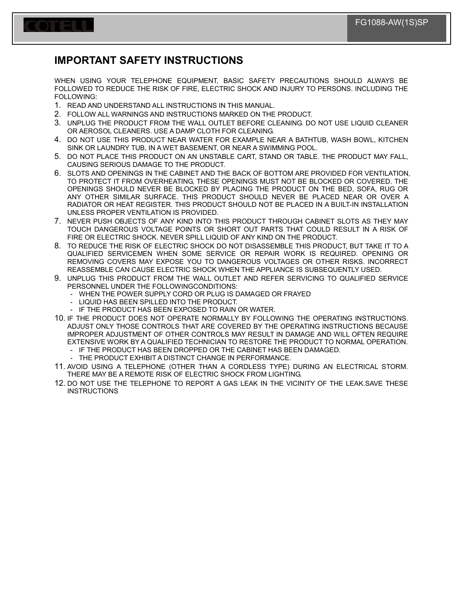

# **IMPORTANT SAFETY INSTRUCTIONS**

WHEN USING YOUR TELEPHONE EQUIPMENT, BASIC SAFETY PRECAUTIONS SHOULD ALWAYS BE FOLLOWED TO REDUCE THE RISK OF FIRE, ELECTRIC SHOCK AND INJURY TO PERSONS. INCLUDING THE FOLLOWING:

- 1. READ AND UNDERSTAND ALL INSTRUCTIONS IN THIS MANUAL.
- 2. FOLLOW ALL WARNINGS AND INSTRUCTIONS MARKED ON THE PRODUCT.
- 3. UNPLUG THE PRODUCT FROM THE WALL OUTLET BEFORE CLEANING. DO NOT USE LIQUID CLEANER OR AEROSOL CLEANERS. USE A DAMP CLOTH FOR CLEANING.
- 4. DO NOT USE THIS PRODUCT NEAR WATER FOR EXAMPLE NEAR A BATHTUB, WASH BOWL, KITCHEN SINK OR LAUNDRY TUB, IN A WET BASEMENT, OR NEAR A SWIMMING POOL.
- 5. DO NOT PLACE THIS PRODUCT ON AN UNSTABLE CART, STAND OR TABLE. THE PRODUCT MAY FALL, CAUSING SERIOUS DAMAGE TO THE PRODUCT.
- 6. SLOTS AND OPENINGS IN THE CABINET AND THE BACK OF BOTTOM ARE PROVIDED FOR VENTILATION, TO PROTECT IT FROM OVERHEATING, THESE OPENINGS MUST NOT BE BLOCKED OR COVERED. THE OPENINGS SHOULD NEVER BE BLOCKED BY PLACING THE PRODUCT ON THE BED, SOFA, RUG OR ANY OTHER SIMILAR SURFACE. THIS PRODUCT SHOULD NEVER BE PLACED NEAR OR OVER A RADIATOR OR HEAT REGISTER. THIS PRODUCT SHOULD NOT BE PLACED IN A BUILT-IN INSTALLATION UNLESS PROPER VENTILATION IS PROVIDED.
- 7. NEVER PUSH OBJECTS OF ANY KIND INTO THIS PRODUCT THROUGH CABINET SLOTS AS THEY MAY TOUCH DANGEROUS VOLTAGE POINTS OR SHORT OUT PARTS THAT COULD RESULT IN A RISK OF FIRE OR ELECTRIC SHOCK. NEVER SPILL LIQUID OF ANY KIND ON THE PRODUCT.
- 8. TO REDUCE THE RISK OF ELECTRIC SHOCK DO NOT DISASSEMBLE THIS PRODUCT, BUT TAKE IT TO A QUALIFIED SERVICEMEN WHEN SOME SERVICE OR REPAIR WORK IS REQUIRED. OPENING OR REMOVING COVERS MAY EXPOSE YOU TO DANGEROUS VOLTAGES OR OTHER RISKS. INCORRECT REASSEMBLE CAN CAUSE ELECTRIC SHOCK WHEN THE APPLIANCE IS SUBSEQUENTLY USED.
- 9. UNPLUG THIS PRODUCT FROM THE WALL OUTLET AND REFER SERVICING TO QUALIFIED SERVICE PERSONNEL UNDER THE FOLLOWINGCONDITIONS:
	- WHEN THE POWER SUPPLY CORD OR PLUG IS DAMAGED OR FRAYED
	- LIQUID HAS BEEN SPILLED INTO THE PRODUCT.
	- IF THE PRODUCT HAS BEEN EXPOSED TO RAIN OR WATER.
- 10. IF THE PRODUCT DOES NOT OPERATE NORMALLY BY FOLLOWING THE OPERATING INSTRUCTIONS. ADJUST ONLY THOSE CONTROLS THAT ARE COVERED BY THE OPERATING INSTRUCTIONS BECAUSE IMPROPER ADJUSTMENT OF OTHER CONTROLS MAY RESULT IN DAMAGE AND WILL OFTEN REQUIRE EXTENSIVE WORK BY A QUALIFIED TECHNICIAN TO RESTORE THE PRODUCT TO NORMAL OPERATION.
	- IF THE PRODUCT HAS BEEN DROPPED OR THE CABINET HAS BEEN DAMAGED.
	- THE PRODUCT EXHIBIT A DISTINCT CHANGE IN PERFORMANCE.
- 11. AVOID USING A TELEPHONE (OTHER THAN A CORDLESS TYPE) DURING AN ELECTRICAL STORM. THERE MAY BE A REMOTE RISK OF ELECTRIC SHOCK FROM LIGHTING.
- 12. DO NOT USE THE TELEPHONE TO REPORT A GAS LEAK IN THE VICINITY OF THE LEAK.SAVE THESE **INSTRUCTIONS**